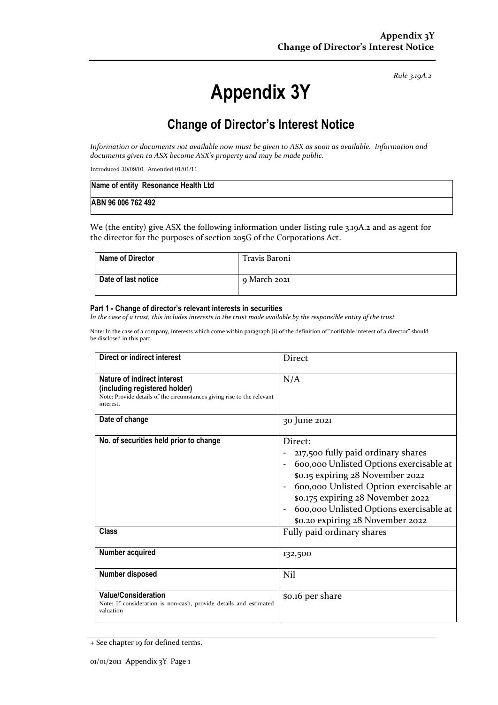*Rule 3.19A.2*

# **Appendix 3Y**

# **Change of Director's Interest Notice**

*Information or documents not available now must be given to ASX as soon as available. Information and documents given to ASX become ASX's property and may be made public.*

Introduced 30/09/01 Amended 01/01/11

| Name of entity Resonance Health Ltd |  |
|-------------------------------------|--|
| ABN 96 006 762 492                  |  |

We (the entity) give ASX the following information under listing rule 3.19A.2 and as agent for the director for the purposes of section 205G of the Corporations Act.

| Name of Director    | Travis Baroni |
|---------------------|---------------|
| Date of last notice | 9 March 2021  |

#### **Part 1 - Change of director's relevant interests in securities**

*In the case of a trust, this includes interests in the trust made available by the responsible entity of the trust*

Note: In the case of a company, interests which come within paragraph (i) of the definition of "notifiable interest of a director" should be disclosed in this part.

| Direct or indirect interest                                                                                                                         | <b>Direct</b>                                                                                                                                                                                                                                                                                                            |
|-----------------------------------------------------------------------------------------------------------------------------------------------------|--------------------------------------------------------------------------------------------------------------------------------------------------------------------------------------------------------------------------------------------------------------------------------------------------------------------------|
| Nature of indirect interest<br>(including registered holder)<br>Note: Provide details of the circumstances giving rise to the relevant<br>interest. | N/A                                                                                                                                                                                                                                                                                                                      |
| Date of change                                                                                                                                      | 30 June 2021                                                                                                                                                                                                                                                                                                             |
| No. of securities held prior to change<br>Class                                                                                                     | Direct:<br>217,500 fully paid ordinary shares<br>600,000 Unlisted Options exercisable at<br>\$0.15 expiring 28 November 2022<br>600,000 Unlisted Option exercisable at<br>\$0.175 expiring 28 November 2022<br>600,000 Unlisted Options exercisable at<br>\$0.20 expiring 28 November 2022<br>Fully paid ordinary shares |
| Number acquired                                                                                                                                     | 132,500                                                                                                                                                                                                                                                                                                                  |
| Number disposed                                                                                                                                     | Nil                                                                                                                                                                                                                                                                                                                      |
| <b>Value/Consideration</b><br>Note: If consideration is non-cash, provide details and estimated<br>valuation                                        | \$0.16 per share                                                                                                                                                                                                                                                                                                         |

<sup>+</sup> See chapter 19 for defined terms.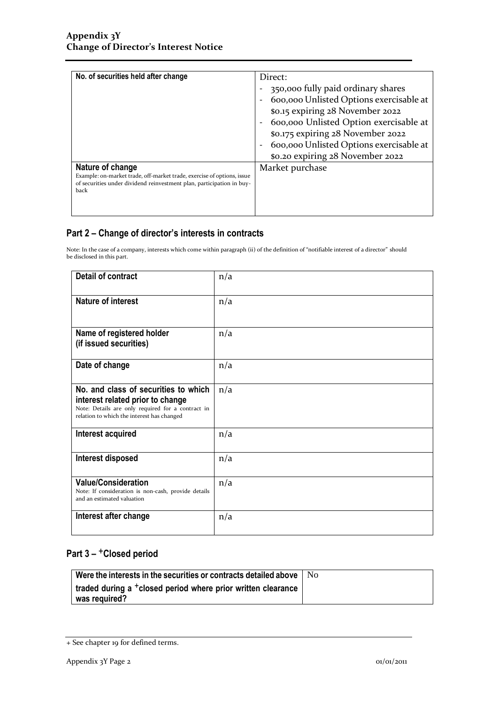| No. of securities held after change                                                                                                                                         | Direct:<br>350,000 fully paid ordinary shares<br>600,000 Unlisted Options exercisable at<br>\$0.15 expiring 28 November 2022<br>600,000 Unlisted Option exercisable at<br>\$0.175 expiring 28 November 2022<br>600,000 Unlisted Options exercisable at<br>\$0.20 expiring 28 November 2022 |
|-----------------------------------------------------------------------------------------------------------------------------------------------------------------------------|--------------------------------------------------------------------------------------------------------------------------------------------------------------------------------------------------------------------------------------------------------------------------------------------|
| Nature of change<br>Example: on-market trade, off-market trade, exercise of options, issue<br>of securities under dividend reinvestment plan, participation in buy-<br>back | Market purchase                                                                                                                                                                                                                                                                            |

### **Part 2 – Change of director's interests in contracts**

Note: In the case of a company, interests which come within paragraph (ii) of the definition of "notifiable interest of a director" should be disclosed in this part.

| <b>Detail of contract</b>                                                                                                                                                   | n/a |
|-----------------------------------------------------------------------------------------------------------------------------------------------------------------------------|-----|
| <b>Nature of interest</b>                                                                                                                                                   | n/a |
| Name of registered holder<br>(if issued securities)                                                                                                                         | n/a |
| Date of change                                                                                                                                                              | n/a |
| No. and class of securities to which<br>interest related prior to change<br>Note: Details are only required for a contract in<br>relation to which the interest has changed | n/a |
| Interest acquired                                                                                                                                                           | n/a |
| Interest disposed                                                                                                                                                           | n/a |
| <b>Value/Consideration</b><br>Note: If consideration is non-cash, provide details<br>and an estimated valuation                                                             | n/a |
| Interest after change                                                                                                                                                       | n/a |

## **Part 3 –** +**Closed period**

| Were the interests in the securities or contracts detailed above $\parallel$ No           |  |
|-------------------------------------------------------------------------------------------|--|
| traded during a <sup>+</sup> closed period where prior written clearance<br>was required? |  |

<sup>+</sup> See chapter 19 for defined terms.